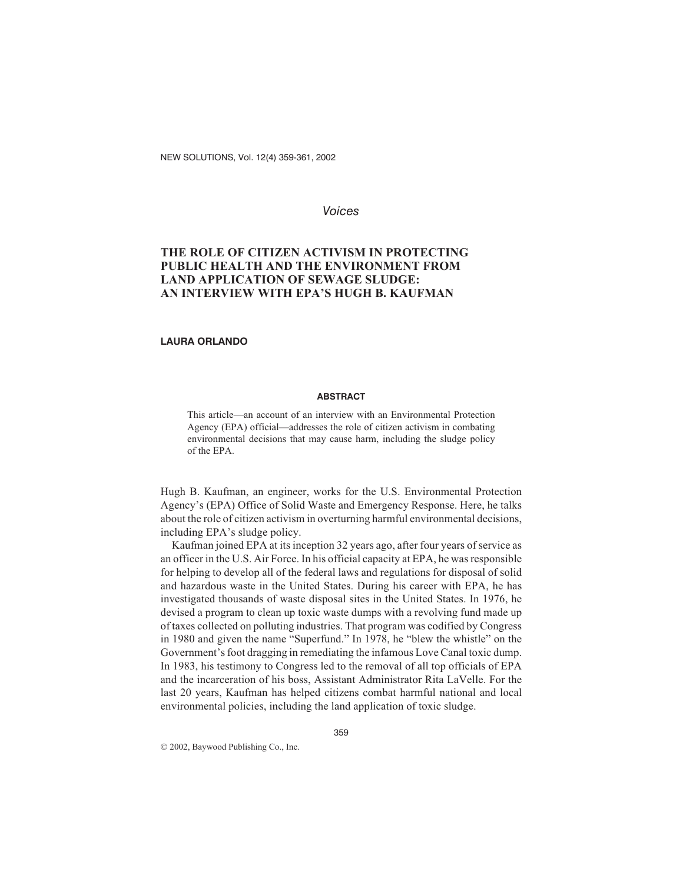NEW SOLUTIONS, Vol. 12(4) 359-361, 2002

## *Voices*

# **THE ROLE OF CITIZEN ACTIVISM IN PROTECTING PUBLIC HEALTH AND THE ENVIRONMENT FROM LAND APPLICATION OF SEWAGE SLUDGE: AN INTERVIEW WITH EPA'S HUGH B. KAUFMAN**

## **LAURA ORLANDO**

#### **ABSTRACT**

This article—an account of an interview with an Environmental Protection Agency (EPA) official—addresses the role of citizen activism in combating environmental decisions that may cause harm, including the sludge policy of the EPA.

Hugh B. Kaufman, an engineer, works for the U.S. Environmental Protection Agency's (EPA) Office of Solid Waste and Emergency Response. Here, he talks about the role of citizen activism in overturning harmful environmental decisions, including EPA's sludge policy.

Kaufman joined EPA at its inception 32 years ago, after four years of service as an officer in the U.S. Air Force. In his official capacity at EPA, he was responsible for helping to develop all of the federal laws and regulations for disposal of solid and hazardous waste in the United States. During his career with EPA, he has investigated thousands of waste disposal sites in the United States. In 1976, he devised a program to clean up toxic waste dumps with a revolving fund made up of taxes collected on polluting industries. That program was codified by Congress in 1980 and given the name "Superfund." In 1978, he "blew the whistle" on the Government's foot dragging in remediating the infamous Love Canal toxic dump. In 1983, his testimony to Congress led to the removal of all top officials of EPA and the incarceration of his boss, Assistant Administrator Rita LaVelle. For the last 20 years, Kaufman has helped citizens combat harmful national and local environmental policies, including the land application of toxic sludge.

2002, Baywood Publishing Co., Inc.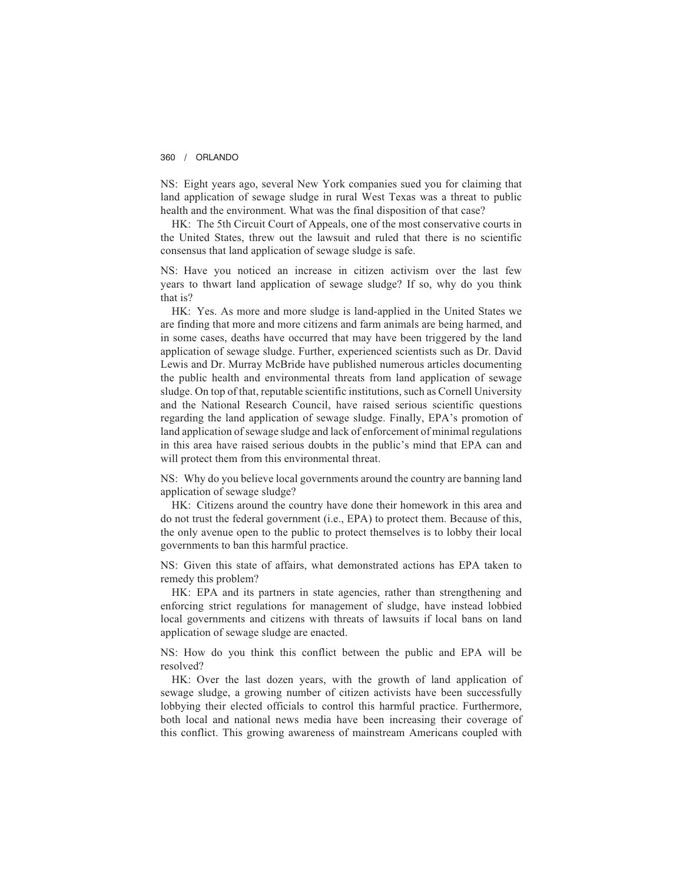#### 360 / ORLANDO

NS: Eight years ago, several New York companies sued you for claiming that land application of sewage sludge in rural West Texas was a threat to public health and the environment. What was the final disposition of that case?

HK: The 5th Circuit Court of Appeals, one of the most conservative courts in the United States, threw out the lawsuit and ruled that there is no scientific consensus that land application of sewage sludge is safe.

NS: Have you noticed an increase in citizen activism over the last few years to thwart land application of sewage sludge? If so, why do you think that is?

HK: Yes. As more and more sludge is land-applied in the United States we are finding that more and more citizens and farm animals are being harmed, and in some cases, deaths have occurred that may have been triggered by the land application of sewage sludge. Further, experienced scientists such as Dr. David Lewis and Dr. Murray McBride have published numerous articles documenting the public health and environmental threats from land application of sewage sludge. On top of that, reputable scientific institutions, such as Cornell University and the National Research Council, have raised serious scientific questions regarding the land application of sewage sludge. Finally, EPA's promotion of land application of sewage sludge and lack of enforcement of minimal regulations in this area have raised serious doubts in the public's mind that EPA can and will protect them from this environmental threat.

NS: Why do you believe local governments around the country are banning land application of sewage sludge?

HK: Citizens around the country have done their homework in this area and do not trust the federal government (i.e., EPA) to protect them. Because of this, the only avenue open to the public to protect themselves is to lobby their local governments to ban this harmful practice.

NS: Given this state of affairs, what demonstrated actions has EPA taken to remedy this problem?

HK: EPA and its partners in state agencies, rather than strengthening and enforcing strict regulations for management of sludge, have instead lobbied local governments and citizens with threats of lawsuits if local bans on land application of sewage sludge are enacted.

NS: How do you think this conflict between the public and EPA will be resolved?

HK: Over the last dozen years, with the growth of land application of sewage sludge, a growing number of citizen activists have been successfully lobbying their elected officials to control this harmful practice. Furthermore, both local and national news media have been increasing their coverage of this conflict. This growing awareness of mainstream Americans coupled with